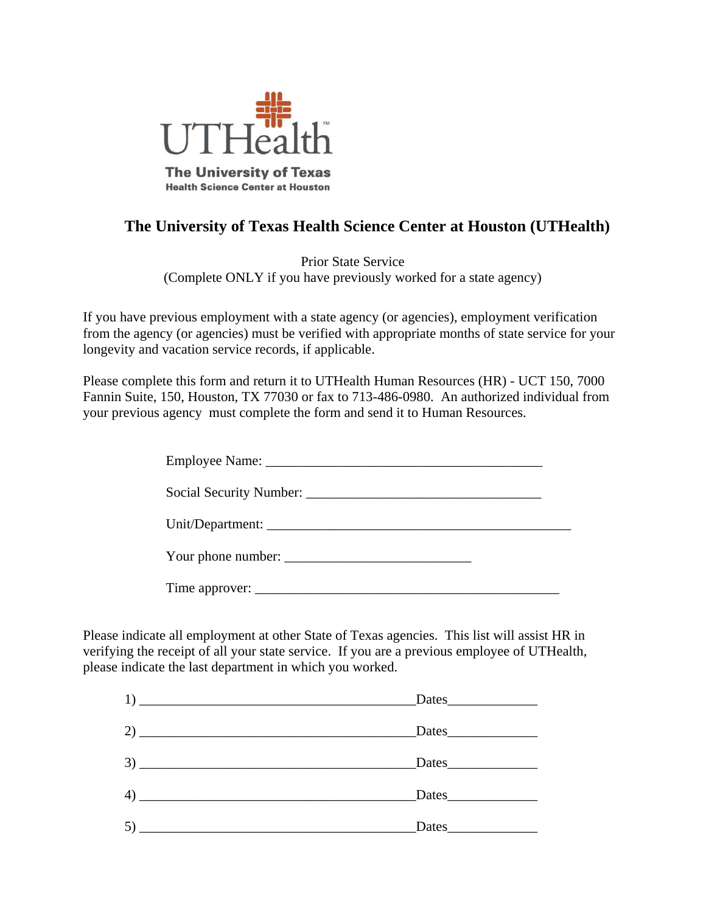

# **The University of Texas Health Science Center at Houston (UTHealth)**

Prior State Service (Complete ONLY if you have previously worked for a state agency)

If you have previous employment with a state agency (or agencies), employment verification from the agency (or agencies) must be verified with appropriate months of state service for your longevity and vacation service records, if applicable.

Please complete this form and return it to UTHealth Human Resources (HR) - UCT 150, 7000 Fannin Suite, 150, Houston, TX 77030 or fax to 713-486-0980. An authorized individual from your previous agency must complete the form and send it to Human Resources.

| Your phone number: |  |
|--------------------|--|
|                    |  |

Please indicate all employment at other State of Texas agencies. This list will assist HR in verifying the receipt of all your state service. If you are a previous employee of UTHealth, please indicate the last department in which you worked.

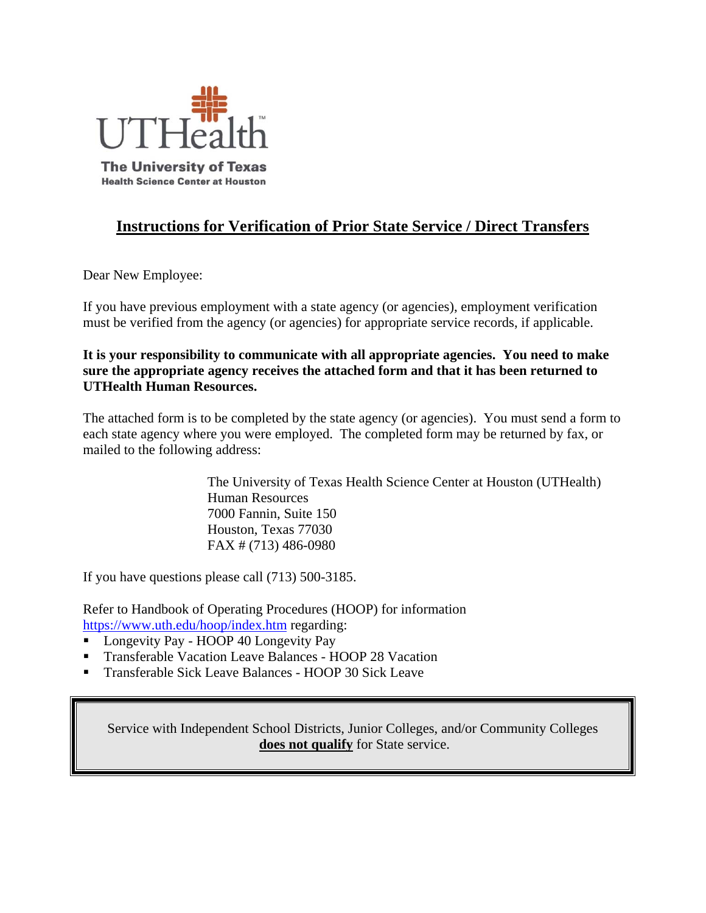

## **Instructions for Verification of Prior State Service / Direct Transfers**

Dear New Employee:

If you have previous employment with a state agency (or agencies), employment verification must be verified from the agency (or agencies) for appropriate service records, if applicable.

**It is your responsibility to communicate with all appropriate agencies. You need to make sure the appropriate agency receives the attached form and that it has been returned to UTHealth Human Resources.** 

The attached form is to be completed by the state agency (or agencies). You must send a form to each state agency where you were employed. The completed form may be returned by fax, or mailed to the following address:

> The University of Texas Health Science Center at Houston (UTHealth) Human Resources 7000 Fannin, Suite 150 Houston, Texas 77030 FAX # (713) 486-0980

If you have questions please call (713) 500-3185.

Refer to Handbook of Operating Procedures (HOOP) for information https://www.uth.edu/hoop/index.htm regarding:

- **Longevity Pay HOOP 40 Longevity Pay**
- Transferable Vacation Leave Balances HOOP 28 Vacation
- **Transferable Sick Leave Balances HOOP 30 Sick Leave**

Service with Independent School Districts, Junior Colleges, and/or Community Colleges **does not qualify** for State service.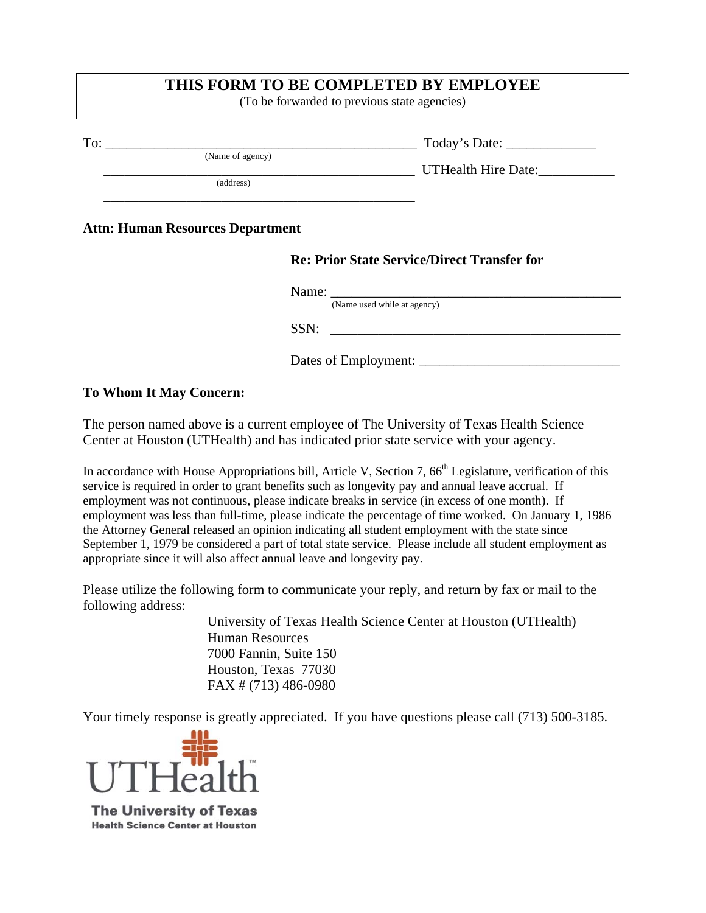### **THIS FORM TO BE COMPLETED BY EMPLOYEE**

(To be forwarded to previous state agencies)

|                                         |                             | Today's Date: ________________                     |  |  |
|-----------------------------------------|-----------------------------|----------------------------------------------------|--|--|
|                                         | (Name of agency)            | UTHealth Hire Date:                                |  |  |
|                                         | (address)                   |                                                    |  |  |
| <b>Attn: Human Resources Department</b> |                             |                                                    |  |  |
|                                         |                             | <b>Re: Prior State Service/Direct Transfer for</b> |  |  |
|                                         | (Name used while at agency) |                                                    |  |  |
|                                         | SSN:                        |                                                    |  |  |

Dates of Employment:

#### **To Whom It May Concern:**

The person named above is a current employee of The University of Texas Health Science Center at Houston (UTHealth) and has indicated prior state service with your agency.

In accordance with House Appropriations bill, Article V, Section 7,  $66<sup>th</sup>$  Legislature, verification of this service is required in order to grant benefits such as longevity pay and annual leave accrual. If employment was not continuous, please indicate breaks in service (in excess of one month). If employment was less than full-time, please indicate the percentage of time worked. On January 1, 1986 the Attorney General released an opinion indicating all student employment with the state since September 1, 1979 be considered a part of total state service. Please include all student employment as appropriate since it will also affect annual leave and longevity pay.

Please utilize the following form to communicate your reply, and return by fax or mail to the following address:

> University of Texas Health Science Center at Houston (UTHealth) Human Resources 7000 Fannin, Suite 150 Houston, Texas 77030 FAX # (713) 486-0980

Your timely response is greatly appreciated. If you have questions please call (713) 500-3185.



**The University of Texas Health Science Center at Houston**